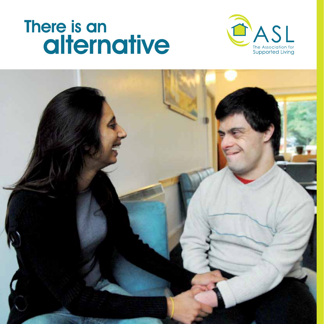# There is an alternative



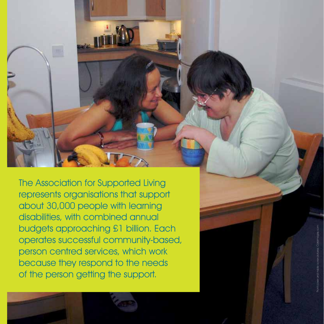The Association for Supported Living represents organisations that support about 30,000 people with learning disabilities, with combined annual budgets approaching £1 billion. Each operates successful community-based, person centred services, which work because they respond to the needs of the person getting the support.

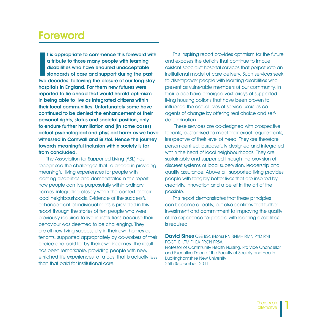#### Foreword

I is appropriate to commence this foreword with<br>a tribute to those many people with learning<br>disabilities who have endured unacceptable<br>standards of care and support during the past<br>two decades, following the closure of ou t is appropriate to commence this foreword with a tribute to those many people with learning disabilities who have endured unacceptable standards of care and support during the past hospitals in England. For them new futures were reported to lie ahead that would herald optimism in being able to live as integrated citizens within their local communities. Unfortunately some have continued to be denied the enhancement of their personal rights, status and societal position, only to endure further humiliation and (in some cases) actual psychological and physical harm as we have witnessed in Cornwall and Bristol. Hence the journey towards meaningful inclusion within society is far from concluded.

The Association for Supported Living (ASL) has recognised the challenges that lie ahead in providing meaningful living experiences for people with learning disabilities and demonstrates in this report how people can live purposefully within ordinary homes, integrating closely within the context of their local neighbourhoods. Evidence of the successful enhancement of individual rights is provided in this report through the stories of ten people who were previously required to live in institutions because their behaviour was deemed to be challenging. They are all now living successfully in their own homes as tenants, supported appropriately by co-workers of their choice and paid for by their own incomes. The result has been remarkable, providing people with new, enriched life experiences, at a cost that is actually less than that paid for institutional care.

This inspiring report provides optimism for the future and exposes the deficits that continue to imbue existent specialist hospital services that perpetuate an institutional model of care delivery. Such services seek to disempower people with learning disabilities who present as vulnerable members of our community. In their place have emerged vast arrays of supported living housing options that have been proven to influence the actual lives of service users as coagents of change by offering real choice and selfdetermination.

 These services are co-designed with prospective tenants, customised to meet their exact requirements, irrespective of their level of need. They are therefore person centred, purposefully designed and integrated within the heart of local neighbourhoods. They are sustainable and supported through the provision of discreet systems of local supervision, leadership and quality assurance. Above all, supported living provides people with tangibly better lives that are inspired by creativity, innovation and a belief in the art of the possible.

This report demonstrates that these principles can become a reality, but also confirms that further investment and commitment to improving the quality of life experience for people with learning disabilities is required.

David Sines CBE BSc (Hons) RN RNMH RMN PhD RNT PGCTHE ILTM FHEA FRCN FRSA Professor of Community Health Nursing, Pro Vice Chancellor and Executive Dean of the Faculty of Society and Health Buckinghamshire New University 25th September 2011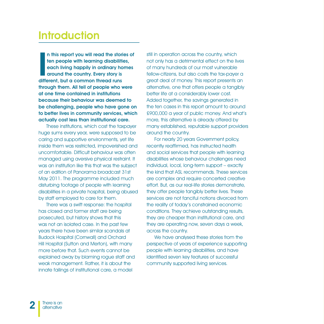#### **Introduction**

In this report you will read the storich then people with learning disabilities each living happily in ordinary host around the country. Every story is different, but a common thread runs n this report you will read the stories of ten people with learning disabilities, each living happily in ordinary homes around the country. Every story is through them. All tell of people who were at one time contained in institutions because their behaviour was deemed to be challenging, people who have gone on to better lives in community services, which actually cost less than institutional care.

These institutions, which cost the taxpayer huge sums every year, were supposed to be caring and supportive environments, yet life inside them was restricted, impoverished and uncomfortable. Difficult behaviour was often managed using aversive physical restraint. It was an institution like this that was the subject of an edition of Panorama broadcast 31st May 2011. The programme included much disturbing footage of people with learning disabilities in a private hospital, being abused by staff employed to care for them.

There was a swift response: the hospital has closed and former staff are being prosecuted, but history shows that this was not an isolated case. In the past few years there have been similar scandals at Budock Hospital (Cornwall) and Orchard Hill Hospital (Sutton and Merton), with many more before that. Such events cannot be explained away by blaming rogue staff and weak management. Rather, it is about the innate failings of institutional care, a model

still in operation across the country, which not only has a detrimental effect on the lives of many hundreds of our most vulnerable fellow-citizens, but also costs the tax-payer a great deal of money. This report presents an alternative, one that offers people a tangibly better life at a considerably lower cost. Added together, the savings generated in the ten cases in this report amount to around £900,000 a year of public money. And what's more, this alternative is already offered by many established, reputable support providers around the country.

For nearly 20 years Government policy, recently reaffirmed, has instructed health and social services that people with learning disabilities whose behaviour challenges need individual, local, long-term support – exactly the kind that ASL recommends. These services are complex and require concerted creative effort. But, as our real-life stories demonstrate, they offer people tangibly better lives. These services are not fanciful notions divorced from the reality of today's constrained economic conditions. They achieve outstanding results, they are cheaper than institutional care, and they are operating now, seven days a week, across the country.

We have analysed these stories from the perspective of years of experience supporting people with learning disabilities, and have identified seven key features of successful community supported living services.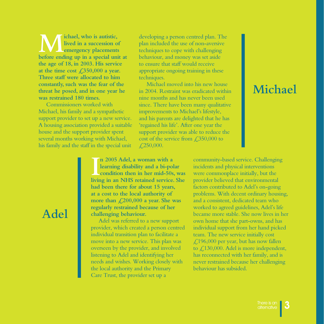**M** ichael, who is autistic,<br>
lived in a succession of<br>
before ending up in a special unit at **lived in a succession of emergency placements the age of 18, in 2003. His service**  at the time cost  $\text{\textsterling}350,000$  a year. **Three staff were allocated to him constantly, such was the fear of the threat he posed, and in one year he was restrained 180 times.** 

Commissioners worked with Michael, his family and a sympathetic support provider to set up a new service. A housing association provided a suitable house and the support provider spent several months working with Michael, his family and the staff in the special unit

developing a person centred plan. The plan included the use of non-aversive techniques to cope with challenging behaviour, and money was set aside to ensure that staff would receive appropriate ongoing training in these techniques.

Michael moved into his new house in 2004. Restraint was eradicated within nine months and has never been used since. There have been many qualitative improvements to Michael's lifestyle, and his parents are delighted that he has 'regained his life'. After one year the support provider was able to reduce the cost of the service from  $\text{\textsterling}350,000$  to  $\angle 250,000.$ 

# **Michael**

**I**<br>Iivir **n 2005 Adel, a woman with a learning disability and a bi-polar condition then in her mid-50s, was living in an NHS retained service. She had been there for about 15 years, at a cost to the local authority of more than £200,000 a year. She was regularly restrained because of her challenging behaviour.** 

Adel was referred to a new support provider, which created a person centred individual transition plan to facilitate a move into a new service. This plan was overseen by the provider, and involved listening to Adel and identifying her needs and wishes. Working closely with the local authority and the Primary Care Trust, the provider set up a

community-based service. Challenging incidents and physical interventions were commonplace initially, but the provider believed that environmental factors contributed to Adel's on-going problems. With decent ordinary housing, and a consistent, dedicated team who worked to agreed guidelines, Adel's life became more stable. She now lives in her own home that she part-owns, and has individual support from her hand picked team. The new service initially cost £196,000 per year, but has now fallen to £130,000. Adel is more independent, has reconnected with her family, and is never restrained because her challenging behaviour has subsided.

#### **Adel**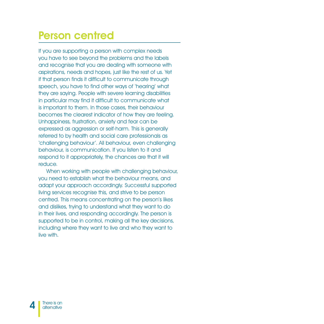#### Person centred

If you are supporting a person with complex needs you have to see beyond the problems and the labels and recognise that you are dealing with someone with aspirations, needs and hopes, just like the rest of us. Yet if that person finds it difficult to communicate through speech, you have to find other ways of 'hearing' what they are saying. People with severe learning disabilities in particular may find it difficult to communicate what is important to them. In those cases, their behaviour becomes the clearest indicator of how they are feeling. Unhappiness, frustration, anxiety and fear can be expressed as aggression or self-harm. This is generally referred to by health and social care professionals as 'challenging behaviour'. All behaviour, even challenging behaviour, is communication. If you listen to it and respond to it appropriately, the chances are that it will reduce.

When working with people with challenging behaviour, you need to establish what the behaviour means, and adapt your approach accordingly. Successful supported living services recognise this, and strive to be person centred. This means concentrating on the person's likes and dislikes, trying to understand what they want to do in their lives, and responding accordingly. The person is supported to be in control, making all the key decisions, including where they want to live and who they want to live with.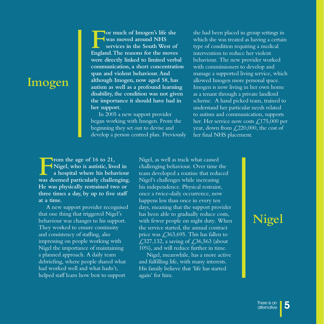#### **Imogen**

**For much of Imogen's life she was moved around NHS services in the South West of England. The reasons for the moves were directly linked to limited verbal communication, a short concentration span and violent behaviour. And although Imogen, now aged 58, has autism as well as a profound learning disability, the condition was not given the importance it should have had in her support.** 

In 2005 a new support provider began working with Imogen. From the beginning they set out to devise and develop a person centred plan. Previously she had been placed in group settings in which she was treated as having a certain type of condition requiring a medical intervention to reduce her violent behaviour. The new provider worked with commissioners to develop and manage a supported living service, which allowed Imogen more personal space. Imogen is now living in her own home as a tenant through a private landlord scheme. A hand picked team, trained to understand her particular needs related to autism and communication, supports her. Her service now costs  $\mathcal{L}$ , 175,000 per year, down from  $\text{\textsterling}220,000$ , the cost of her final NHS placement.

**From the age of 16 to 21,**<br>Nigel, who is autistic, live<br>a hospital where his beha<br>was deemed particularly challer **Nigel, who is autistic, lived in a hospital where his behaviour was deemed particularly challenging. He was physically restrained two or three times a day, by up to five staff at a time.** 

A new support provider recognised that one thing that triggered Nigel's behaviour was changes to his support. They worked to ensure continuity and consistency of staffing, also impressing on people working with Nigel the importance of maintaining a planned approach. A daily team debriefing, where people shared what had worked well and what hadn't, helped staff learn how best to support

Nigel, as well as track what caused challenging behaviour. Over time the team developed a routine that reduced Nigel's challenges while increasing his independence. Physical restraint, once a twice-daily occurrence, now happens less than once in every ten days, meaning that the support provider has been able to gradually reduce costs, with fewer people on night duty. When the service started, the annual contract price was  $\text{\textsterling}363,695$ . This has fallen to £,327,132, a saving of  $£$ ,36,563 (about 10%), and will reduce further in time.

Nigel, meanwhile, has a more active and fulfilling life, with many interests. His family believe that 'life has started again' for him.

# **Nigel**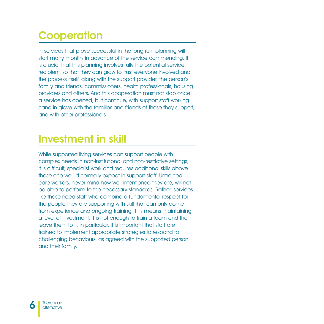# **Cooperation**

In services that prove successful in the long run, planning will start many months in advance of the service commencing. It is crucial that this planning involves fully the potential service recipient, so that they can grow to trust everyone involved and the process itself, along with the support provider, the person's family and friends, commissioners, health professionals, housing providers and others. And this cooperation must not stop once a service has opened, but continue, with support staff working hand in glove with the families and friends of those they support, and with other professionals.

## Investment in skill

While supported living services can support people with complex needs in non-institutional and non-restrictive settings, it is difficult, specialist work and requires additional skills above those one would normally expect in support staff. Untrained care workers, never mind how well-intentioned they are, will not be able to perform to the necessary standards. Rather, services like these need staff who combine a fundamental respect for the people they are supporting with skill that can only come from experience and ongoing training. This means maintaining a level of investment. It is not enough to train a team and then leave them to it. In particular, it is important that staff are trained to implement appropriate strategies to respond to challenging behaviours, as agreed with the supported person and their family.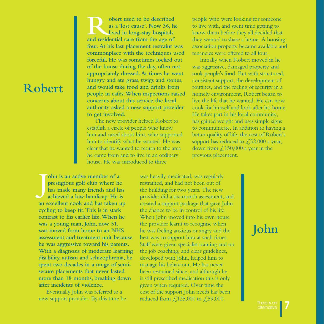# **Robert**

**Robert used to be described**<br>as a 'lost cause'. Now 36, he<br>lived in long-stay hospitals<br>and residential care from the age of **as a 'lost cause'. Now 36, he lived in long-stay hospitals and residential care from the age of four. At his last placement restraint was commonplace with the techniques used forceful. He was sometimes locked out of the house during the day, often not appropriately dressed. At times he went hungry and ate grass, twigs and stones, and would take food and drinks from people in cafés. When inspections raised concerns about this service the local authority asked a new support provider to get involved.** 

The new provider helped Robert to establish a circle of people who knew him and cared about him, who supported him to identify what he wanted. He was clear that he wanted to return to the area he came from and to live in an ordinary house. He was introduced to three

people who were looking for someone to live with, and spent time getting to know them before they all decided that they wanted to share a home. A housing association property became available and tenancies were offered to all four.

Initially when Robert moved in he was aggressive, damaged property and took people's food. But with structured, consistent support, the development of routines, and the feeling of security in a homely environment, Robert began to live the life that he wanted. He can now cook for himself and look after his home. He takes part in his local community, has gained weight and uses simple signs to communicate. In addition to having a better quality of life, the cost of Robert's support has reduced to  $\angle 52,000$  a year, down from  $\text{\textsterling}150,000$  a year in the previous placement.

**J ohn is an active member of a prestigious golf club where he has made many friends and has achieved a low handicap. He is an excellent cook and has taken up cycling to keep fit. This is in stark contrast to his earlier life. When he was a young man, John, now 51, was moved from home to an NHS assessment and treatment unit because he was aggressive toward his parents. With a diagnosis of moderate learning disability, autism and schizophrenia, he spent two decades in a range of semisecure placements that never lasted more than 18 months, breaking down after incidents of violence.**

Eventually John was referred to a new support provider. By this time he was heavily medicated, was regularly restrained, and had not been out of the building for two years. The new provider did a six-month assessment, and created a support package that gave John the chance to be in control of his life. When John moved into his own house the provider learnt to recognise when he was feeling anxious or angry and the best way to support him at such times. Staff were given specialist training and on the job coaching, and clear guidelines, developed with John, helped him to manage his behaviour. He has never been restrained since, and although he is still prescribed medication this is only given when required. Over time the cost of the support John needs has been reduced from  $\text{\textsterling}.125,000$  to  $\text{\textsterling}.59,000$ .

### **John**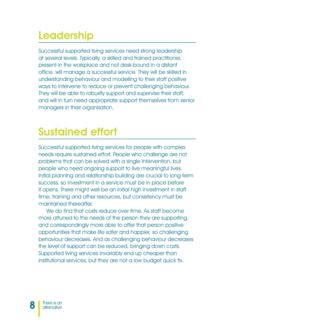## **Leadership**

Successful supported living services need strong leadership at several levels. Typically, a skilled and trained practitioner, present in the workplace and not desk-bound in a distant office, will manage a successful service. They will be skilled in understanding behaviour and modelling to their staff positive ways to intervene to reduce or prevent challenging behaviour. They will be able to robustly support and supervise their staff, and will in turn need appropriate support themselves from senior managers in their organisation.

### Sustained effort

Successful supported living services for people with complex needs require sustained effort. People who challenge are not problems that can be solved with a single intervention, but people who need ongoing support to live meaningful lives. Initial planning and relationship building are crucial to long-term success, so investment in a service must be in place before it opens. There might well be an initial high investment in staff time, training and other resources, but consistency must be maintained thereafter.

We do find that costs reduce over time. As staff become more attuned to the needs of the person they are supporting, and correspondingly more able to offer that person positive opportunities that make life safer and happier, so challenging behaviour decreases. And as challenging behaviour decreases the level of support can be reduced, bringing down costs. Supported living services invariably end up cheaper than institutional services, but they are not a low budget quick fix.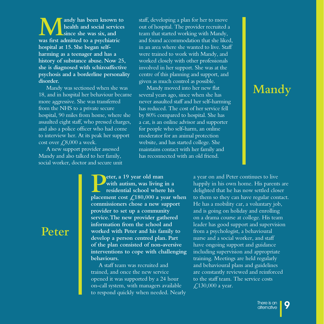**M** andy has been known to health and social services since she was six, and was first admitted to a psychiatric **health and social services since she was six, and hospital at 15. She began selfharming as a teenager and has a history of substance abuse. Now 25, she is diagnosed with schizoaffective psychosis and a borderline personality disorder.** 

Mandy was sectioned when she was 18, and in hospital her behaviour became more aggressive. She was transferred from the NHS to a private secure hospital, 90 miles from home, where she assaulted eight staff, who pressed charges, and also a police officer who had come to interview her. At its peak her support cost over  $\text{\textsterling}8,000$  a week.

A new support provider assessed Mandy and also talked to her family, social worker, doctor and secure unit staff, developing a plan for her to move out of hospital. The provider recruited a team that started working with Mandy, and found accommodation that she liked, in an area where she wanted to live. Staff were trained to work with Mandy, and worked closely with other professionals involved in her support. She was at the centre of this planning and support, and given as much control as possible.

Mandy moved into her new flat several years ago, since when she has never assaulted staff and her self-harming has reduced. The cost of her service fell by 80% compared to hospital. She has a cat, is an online advisor and supporter for people who self-harm, an online moderator for an animal protection website, and has started college. She maintains contact with her family and has reconnected with an old friend.

**Peter, a 19 year old man**<br>
with autism, was living in a<br>
placement cost £180,000 a year when **with autism, was living in a residential school where his commissioners chose a new support provider to set up a community service. The new provider gathered information from the school and worked with Peter and his family to develop a person centred plan. Part of the plan consisted of non-aversive interventions to cope with challenging behaviours.** 

A staff team was recruited and trained, and once the new service opened it was supported by a 24 hour on-call system, with managers available to respond quickly when needed. Nearly

# **Mandy**

a year on and Peter continues to live happily in his own home. His parents are delighted that he has now settled closer to them so they can have regular contact. He has a mobility car, a voluntary job, and is going on holiday and enrolling on a drama course at college. His team leader has good support and supervision from a psychologist, a behavioural nurse and a social worker, and staff have ongoing support and guidance including supervision and appropriate training. Meetings are held regularly and behavioural plans and guidelines are constantly reviewed and reinforced to the staff team. The service costs £,130,000 a year.

#### **Peter**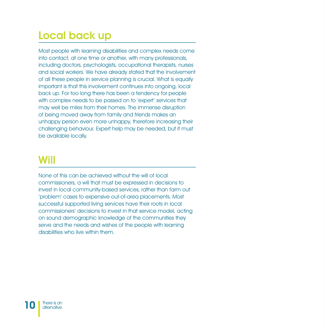# Local back up

Most people with learning disabilities and complex needs come into contact, at one time or another, with many professionals, including doctors, psychologists, occupational therapists, nurses and social workers. We have already stated that the involvement of all these people in service planning is crucial. What is equally important is that this involvement continues into ongoing, local back up. For too long there has been a tendency for people with complex needs to be passed on to 'expert' services that may well be miles from their homes. The immense disruption of being moved away from family and friends makes an unhappy person even more unhappy, therefore increasing their challenging behaviour. Expert help may be needed, but it must be available locally.

### Will

None of this can be achieved without the will of local commissioners, a will that must be expressed in decisions to invest in local community-based services, rather than farm out 'problem' cases to expensive out-of-area placements. Most successful supported living services have their roots in local commissioners' decisions to invest in that service model, acting on sound demographic knowledge of the communities they serve and the needs and wishes of the people with learning disabilities who live within them.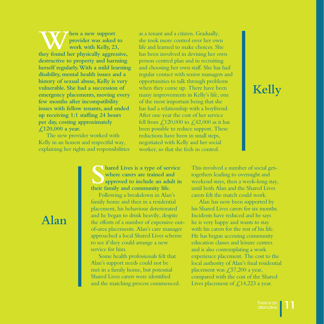**then a new support**<br> **they found her physically aggressive, provider was asked to work with Kelly, 23, destructive to property and harming herself regularly. With a mild learning disability, mental health issues and a history of sexual abuse, Kelly is very vulnerable. She had a succession of emergency placements, moving every few months after incompatibility issues with fellow tenants, and ended up receiving 1:1 staffing 24 hours per day, costing approximately £120,000 a year.** 

The new provider worked with Kelly in an honest and respectful way, explaining her rights and responsibilities

as a tenant and a citizen. Gradually, she took more control over her own life and learned to make choices. She has been involved in devising her own person centred plan and in recruiting and choosing her own staff. She has had regular contact with senior managers and opportunities to talk through problems when they come up. There have been many improvements in Kelly's life, one of the most important being that she has had a relationship with a boyfriend. After one year the cost of her service fell from  $\text{\textsterling}120,000$  to  $\text{\textsterling}42,000$  as it has been possible to reduce support. These reductions have been in small steps, negotiated with Kelly and her social worker, so that she feels in control.

# **Kelly**

**S** hared Lives is a type of service<br>where carers are trained and<br>approved to include an adult in<br>their family and community life. **where carers are trained and approved to include an adult in their family and community life.**

Following a breakdown in Alan's family home and then in a residential placement, his behaviour deteriorated and he began to drink heavily, despite the efforts of a number of expensive outof-area placements. Alan's care manager approached a local Shared Lives scheme to see if they could arrange a new service for him.

Some health professionals felt that Alan's support needs could not be met in a family home, but potential Shared Lives carers were identified and the matching process commenced. This involved a number of social gettogethers leading to overnight and weekend stays, then a week-long stay, until both Alan and the Shared Lives carers felt the match could work.

Alan has now been supported by his Shared Lives carers for six months. Incidents have reduced and he says he is very happy and wants to stay with his carers for the rest of his life. He has begun accessing community education classes and leisure centres and is also contemplating a work experience placement. The cost to the local authority of Alan's final residential placement was £57,200 a year, compared with the cost of the Shared Lives placement of  $\mathcal{L}$ , 14, 223 a year.

#### **Alan**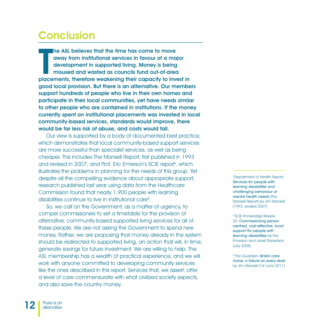#### **Conclusion**

The ASL believes that the time has come to move<br>away from institutional services in favour of a ma<br>development in supported living. Money is being<br>misused and wasted as councils fund out-of-area<br>placements, therefore weake away from institutional services in favour of a major development in supported living. Money is being misused and wasted as councils fund out-of-area placements, therefore weakening their capacity to invest in good local provision. But there is an alternative. Our members support hundreds of people who live in their own homes and participate in their local communities, yet have needs similar to other people who are contained in institutions. If the money currently spent on institutional placements was invested in local community-based services, standards would improve, there would be far less risk of abuse, and costs would fall.

Our view is supported by a body of documented best practice, which demonstrates that local community-based support services are more successful than specialist services, as well as being cheaper. This includes The Mansell Report, first published in 1993 and revised in 2007<sup>i</sup>, and Prof. Eric Emerson's SCIE report<sup>ii</sup>, which illustrates the problems in planning for the needs of this group. Yet despite all the compelling evidence about appropriate support, research published last year using data from the Healthcare Commission found that nearly 1,900 people with learning disabilities continue to live in institutional care<sup>iit</sup>.

So, we call on the Government, as a matter of urgency, to compel commissioners to set a timetable for the provision of alternative, community-based supported living services for all of these people. We are not asking the Government to spend new money. Rather, we are proposing that money already in the system should be redirected to supported living, an action that will, in time, generate savings for future investment. We are willing to help. The ASL membership has a wealth of practical experience, and we will work with anyone committed to developing community services like the ones described in this report. Services that, we assert, offer a level of care commensurate with what civilized society expects, and also save the country money.

i Department of Health Report: Services for people with learning disabilities and challenging behaviour or mental health needs (The Mansell Report) by Jim Mansell (1993, revised 2007)

ii SCIE Knowledge Review 20: Commissioning person centred, cost-effective, local support for people with learning disabilities by Eric Emerson and Janet Robertson. (July 2008)

**iii** The Guardian: **Bristol care** home: a failure on every level by Jim Mansell (1st June 2011)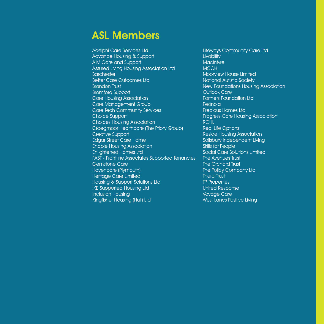#### ASL Members

Adelphi Care Services Ltd Advance Housing & Support AIM Care and Support Assured Living Housing Association Ltd **Barchester** Better Care Outcomes Ltd Brandon Trust Bromford Support Care Housing Association Care Management Group Care Tech Community Services Choice Support Choices Housing Association Craegmoor Healthcare (The Priory Group) Creative Support Edgar Street Care Home Enable Housing Association Enlightened Homes Ltd FAST - Frontline Associates Supported Tenancies Gemstone Care Havencare (Plymouth) Heritage Care Limited Housing & Support Solutions Ltd IKE Supported Housing Ltd Inclusion Housing Kingfisher Housing (Hull) Ltd

Lifeways Community Care Ltd **Livability MacIntyre MCCH** Moorview House Limited National Autistic Society New Foundations Housing Association Outlook Care Partners Foundation Ltd **Peonola** Precious Homes Ltd Progress Care Housing Association **RCHL** Real Life Options Reside Housing Association Salisbury Independent Living Skills for People Social Care Solutions Limited The Avenues Trust The Orchard Trust The Policy Company Ltd Thera Trust TP Properties United Response Voyage Care West Lancs Positive Living